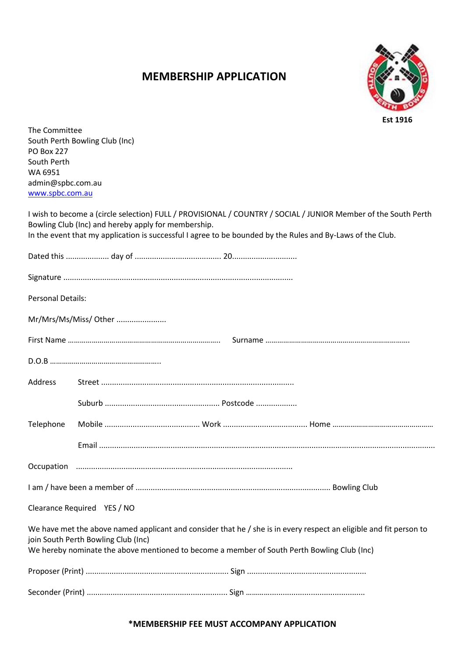# **MEMBERSHIP APPLICATION**



The Committee South Perth Bowling Club (Inc) PO Box 227 South Perth WA 6951 admin@spbc.com.au [www.spbc.com.au](http://www.spbc.com.au/)

I wish to become a (circle selection) FULL / PROVISIONAL / COUNTRY / SOCIAL / JUNIOR Member of the South Perth Bowling Club (Inc) and hereby apply for membership.

| In the event that my application is successful I agree to be bounded by the Rules and By-Laws of the Club. |  |
|------------------------------------------------------------------------------------------------------------|--|
|------------------------------------------------------------------------------------------------------------|--|

| <b>Personal Details:</b> |                                                                                                                                                                                                                                                          |
|--------------------------|----------------------------------------------------------------------------------------------------------------------------------------------------------------------------------------------------------------------------------------------------------|
|                          | Mr/Mrs/Ms/Miss/ Other                                                                                                                                                                                                                                    |
|                          |                                                                                                                                                                                                                                                          |
|                          |                                                                                                                                                                                                                                                          |
| <b>Address</b>           |                                                                                                                                                                                                                                                          |
|                          |                                                                                                                                                                                                                                                          |
| Telephone                |                                                                                                                                                                                                                                                          |
|                          |                                                                                                                                                                                                                                                          |
|                          |                                                                                                                                                                                                                                                          |
|                          |                                                                                                                                                                                                                                                          |
|                          | Clearance Required YES / NO                                                                                                                                                                                                                              |
|                          | We have met the above named applicant and consider that he / she is in every respect an eligible and fit person to<br>join South Perth Bowling Club (Inc)<br>We hereby nominate the above mentioned to become a member of South Perth Bowling Club (Inc) |
|                          |                                                                                                                                                                                                                                                          |
|                          |                                                                                                                                                                                                                                                          |

# **\*MEMBERSHIP FEE MUST ACCOMPANY APPLICATION**